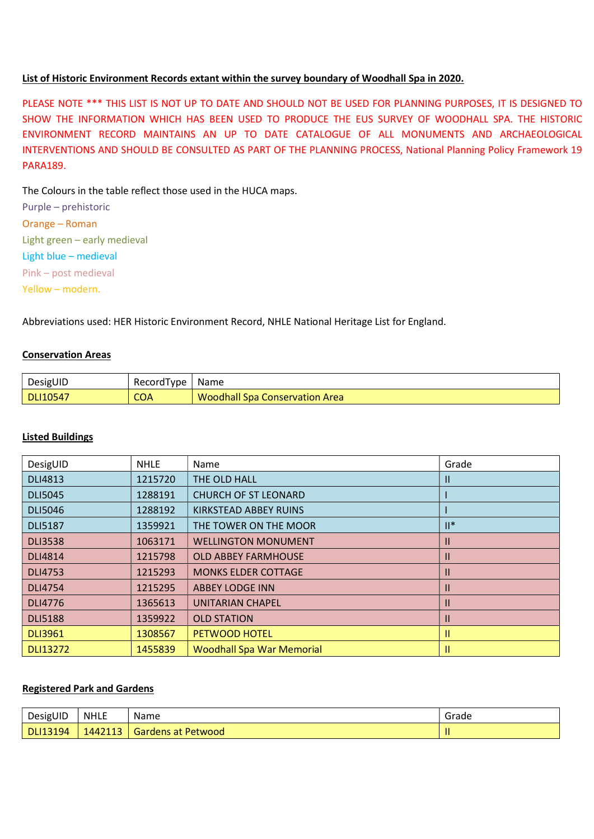### List of Historic Environment Records extant within the survey boundary of Woodhall Spa in 2020.

PLEASE NOTE \*\*\* THIS LIST IS NOT UP TO DATE AND SHOULD NOT BE USED FOR PLANNING PURPOSES, IT IS DESIGNED TO SHOW THE INFORMATION WHICH HAS BEEN USED TO PRODUCE THE EUS SURVEY OF WOODHALL SPA. THE HISTORIC ENVIRONMENT RECORD MAINTAINS AN UP TO DATE CATALOGUE OF ALL MONUMENTS AND ARCHAEOLOGICAL INTERVENTIONS AND SHOULD BE CONSULTED AS PART OF THE PLANNING PROCESS, National Planning Policy Framework 19 PARA189.

The Colours in the table reflect those used in the HUCA maps.

Purple – prehistoric Orange – Roman Light green – early medieval Light blue – medieval Pink – post medieval Yellow – modern.

Abbreviations used: HER Historic Environment Record, NHLE National Heritage List for England.

### Conservation Areas

| DesigUID        | Record I vpe | <b>Name</b>                           |
|-----------------|--------------|---------------------------------------|
| <b>DLI10547</b> | <b>COA</b>   | <b>Noodhall Spa Conservation Area</b> |

### Listed Buildings

| DesigUID        | <b>NHLE</b> | Name                             | Grade         |
|-----------------|-------------|----------------------------------|---------------|
| <b>DLI4813</b>  | 1215720     | THE OLD HALL                     | Ш             |
| <b>DLI5045</b>  | 1288191     | <b>CHURCH OF ST LEONARD</b>      |               |
| <b>DLI5046</b>  | 1288192     | KIRKSTEAD ABBEY RUINS            |               |
| <b>DLI5187</b>  | 1359921     | THE TOWER ON THE MOOR            | $II^*$        |
| <b>DLI3538</b>  | 1063171     | <b>WELLINGTON MONUMENT</b>       | Ш             |
| <b>DLI4814</b>  | 1215798     | <b>OLD ABBEY FARMHOUSE</b>       | Ш             |
| <b>DLI4753</b>  | 1215293     | <b>MONKS ELDER COTTAGE</b>       | Ш             |
| <b>DLI4754</b>  | 1215295     | <b>ABBEY LODGE INN</b>           | Ш             |
| <b>DLI4776</b>  | 1365613     | <b>UNITARIAN CHAPEL</b>          | $\mathsf{II}$ |
| <b>DLI5188</b>  | 1359922     | <b>OLD STATION</b>               | Ш             |
| <b>DLI3961</b>  | 1308567     | <b>PETWOOD HOTEL</b>             | II            |
| <b>DLI13272</b> | 1455839     | <b>Woodhall Spa War Memorial</b> |               |

## Registered Park and Gardens

| DesigUID        | <b>NHLE</b> | <b>Name</b>        | -<br>Grade |
|-----------------|-------------|--------------------|------------|
| <b>DLI13194</b> | 1442113     | Gardens at Petwood |            |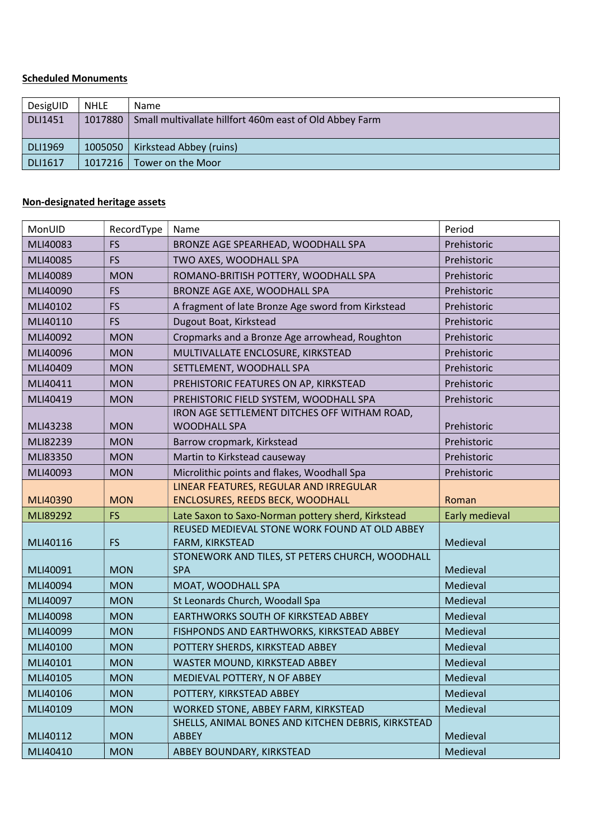# Scheduled Monuments

| DesigUID       | <b>NHLE</b> | <b>Name</b>                                             |
|----------------|-------------|---------------------------------------------------------|
| <b>DLI1451</b> | 1017880     | Small multivallate hillfort 460m east of Old Abbey Farm |
|                |             |                                                         |
| <b>DLI1969</b> | 1005050     | Kirkstead Abbey (ruins)                                 |
| DLI1617        | 1017216     | Tower on the Moor                                       |

# Non-designated heritage assets

| MonUID               | RecordType               | Name                                                                                      | Period               |
|----------------------|--------------------------|-------------------------------------------------------------------------------------------|----------------------|
| MLI40083             | <b>FS</b>                | BRONZE AGE SPEARHEAD, WOODHALL SPA                                                        | Prehistoric          |
| MLI40085             | <b>FS</b>                | TWO AXES, WOODHALL SPA                                                                    | Prehistoric          |
| MLI40089             | <b>MON</b>               | ROMANO-BRITISH POTTERY, WOODHALL SPA                                                      | Prehistoric          |
| MLI40090             | <b>FS</b>                | BRONZE AGE AXE, WOODHALL SPA                                                              | Prehistoric          |
| MLI40102             | <b>FS</b>                | A fragment of late Bronze Age sword from Kirkstead                                        | Prehistoric          |
| MLI40110             | <b>FS</b>                | Dugout Boat, Kirkstead                                                                    | Prehistoric          |
| MLI40092             | <b>MON</b>               | Cropmarks and a Bronze Age arrowhead, Roughton                                            | Prehistoric          |
| MLI40096             | <b>MON</b>               | MULTIVALLATE ENCLOSURE, KIRKSTEAD                                                         | Prehistoric          |
| MLI40409             | <b>MON</b>               | SETTLEMENT, WOODHALL SPA                                                                  | Prehistoric          |
| MLI40411             | <b>MON</b>               | PREHISTORIC FEATURES ON AP, KIRKSTEAD                                                     | Prehistoric          |
| MLI40419             | <b>MON</b>               | PREHISTORIC FIELD SYSTEM, WOODHALL SPA                                                    | Prehistoric          |
|                      |                          | IRON AGE SETTLEMENT DITCHES OFF WITHAM ROAD,                                              |                      |
| MLI43238             | <b>MON</b>               | <b>WOODHALL SPA</b>                                                                       | Prehistoric          |
| MLI82239             | <b>MON</b>               | Barrow cropmark, Kirkstead                                                                | Prehistoric          |
| MLI83350             | <b>MON</b>               | Martin to Kirkstead causeway                                                              | Prehistoric          |
| MLI40093             | <b>MON</b>               | Microlithic points and flakes, Woodhall Spa                                               | Prehistoric          |
|                      |                          | LINEAR FEATURES, REGULAR AND IRREGULAR                                                    |                      |
|                      |                          |                                                                                           |                      |
| MLI40390             | <b>MON</b>               | ENCLOSURES, REEDS BECK, WOODHALL                                                          | Roman                |
| MLI89292             | <b>FS</b>                | Late Saxon to Saxo-Norman pottery sherd, Kirkstead                                        | Early medieval       |
|                      |                          | REUSED MEDIEVAL STONE WORK FOUND AT OLD ABBEY                                             |                      |
| MLI40116             | <b>FS</b>                | FARM, KIRKSTEAD                                                                           | Medieval             |
|                      |                          | STONEWORK AND TILES, ST PETERS CHURCH, WOODHALL                                           |                      |
| MLI40091             | <b>MON</b>               | <b>SPA</b>                                                                                | Medieval             |
| MLI40094             | <b>MON</b>               | MOAT, WOODHALL SPA                                                                        | Medieval             |
| MLI40097             | <b>MON</b>               | St Leonards Church, Woodall Spa<br>EARTHWORKS SOUTH OF KIRKSTEAD ABBEY                    | Medieval             |
| MLI40098<br>MLI40099 | <b>MON</b><br><b>MON</b> |                                                                                           | Medieval             |
|                      |                          | FISHPONDS AND EARTHWORKS, KIRKSTEAD ABBEY                                                 | Medieval<br>Medieval |
| MLI40100<br>MLI40101 | <b>MON</b>               | POTTERY SHERDS, KIRKSTEAD ABBEY                                                           |                      |
|                      | <b>MON</b>               | WASTER MOUND, KIRKSTEAD ABBEY                                                             | Medieval             |
| MLI40105             | <b>MON</b>               | MEDIEVAL POTTERY, N OF ABBEY                                                              | Medieval             |
| MLI40106<br>MLI40109 | <b>MON</b><br><b>MON</b> | POTTERY, KIRKSTEAD ABBEY                                                                  | Medieval<br>Medieval |
|                      |                          | WORKED STONE, ABBEY FARM, KIRKSTEAD<br>SHELLS, ANIMAL BONES AND KITCHEN DEBRIS, KIRKSTEAD |                      |
| MLI40112             | <b>MON</b>               | <b>ABBEY</b>                                                                              | Medieval             |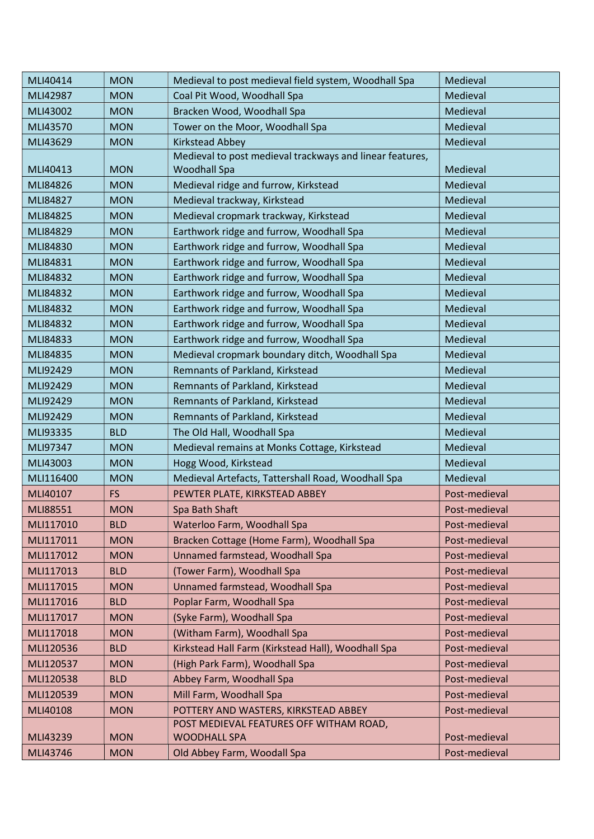| MLI40414  | <b>MON</b> | Medieval to post medieval field system, Woodhall Spa     | Medieval      |
|-----------|------------|----------------------------------------------------------|---------------|
| MLI42987  | <b>MON</b> | Coal Pit Wood, Woodhall Spa                              | Medieval      |
| MLI43002  | <b>MON</b> | Bracken Wood, Woodhall Spa                               | Medieval      |
| MLI43570  | <b>MON</b> | Tower on the Moor, Woodhall Spa                          | Medieval      |
| MLI43629  | <b>MON</b> | Kirkstead Abbey                                          | Medieval      |
|           |            | Medieval to post medieval trackways and linear features, |               |
| MLI40413  | <b>MON</b> | <b>Woodhall Spa</b>                                      | Medieval      |
| MLI84826  | <b>MON</b> | Medieval ridge and furrow, Kirkstead                     | Medieval      |
| MLI84827  | <b>MON</b> | Medieval trackway, Kirkstead                             | Medieval      |
| MLI84825  | <b>MON</b> | Medieval cropmark trackway, Kirkstead                    | Medieval      |
| MLI84829  | <b>MON</b> | Earthwork ridge and furrow, Woodhall Spa                 | Medieval      |
| MLI84830  | <b>MON</b> | Earthwork ridge and furrow, Woodhall Spa                 | Medieval      |
| MLI84831  | <b>MON</b> | Earthwork ridge and furrow, Woodhall Spa                 | Medieval      |
| MLI84832  | <b>MON</b> | Earthwork ridge and furrow, Woodhall Spa                 | Medieval      |
| MLI84832  | <b>MON</b> | Earthwork ridge and furrow, Woodhall Spa                 | Medieval      |
| MLI84832  | <b>MON</b> | Earthwork ridge and furrow, Woodhall Spa                 | Medieval      |
| MLI84832  | <b>MON</b> | Earthwork ridge and furrow, Woodhall Spa                 | Medieval      |
| MLI84833  | <b>MON</b> | Earthwork ridge and furrow, Woodhall Spa                 | Medieval      |
| MLI84835  | <b>MON</b> | Medieval cropmark boundary ditch, Woodhall Spa           | Medieval      |
| MLI92429  | <b>MON</b> | Remnants of Parkland, Kirkstead                          | Medieval      |
| MLI92429  | <b>MON</b> | Remnants of Parkland, Kirkstead                          | Medieval      |
| MLI92429  | <b>MON</b> | Remnants of Parkland, Kirkstead                          | Medieval      |
| MLI92429  | <b>MON</b> | Remnants of Parkland, Kirkstead                          | Medieval      |
| MLI93335  | <b>BLD</b> | The Old Hall, Woodhall Spa                               | Medieval      |
| MLI97347  | <b>MON</b> | Medieval remains at Monks Cottage, Kirkstead             | Medieval      |
| MLI43003  | <b>MON</b> | Hogg Wood, Kirkstead                                     | Medieval      |
| MLI116400 | <b>MON</b> | Medieval Artefacts, Tattershall Road, Woodhall Spa       | Medieval      |
| MLI40107  | <b>FS</b>  | PEWTER PLATE, KIRKSTEAD ABBEY                            | Post-medieval |
| MLI88551  | <b>MON</b> | Spa Bath Shaft                                           | Post-medieval |
| MLI117010 | <b>BLD</b> | Waterloo Farm, Woodhall Spa                              | Post-medieval |
| MLI117011 | <b>MON</b> | Bracken Cottage (Home Farm), Woodhall Spa                | Post-medieval |
| MLI117012 | <b>MON</b> | Unnamed farmstead, Woodhall Spa                          | Post-medieval |
| MLI117013 | <b>BLD</b> | (Tower Farm), Woodhall Spa                               | Post-medieval |
| MLI117015 | <b>MON</b> | Unnamed farmstead, Woodhall Spa                          | Post-medieval |
| MLI117016 | <b>BLD</b> | Poplar Farm, Woodhall Spa                                | Post-medieval |
| MLI117017 | <b>MON</b> | (Syke Farm), Woodhall Spa                                | Post-medieval |
| MLI117018 | <b>MON</b> | (Witham Farm), Woodhall Spa                              | Post-medieval |
| MLI120536 | <b>BLD</b> | Kirkstead Hall Farm (Kirkstead Hall), Woodhall Spa       | Post-medieval |
| MLI120537 | <b>MON</b> | (High Park Farm), Woodhall Spa                           | Post-medieval |
| MLI120538 | <b>BLD</b> | Abbey Farm, Woodhall Spa                                 | Post-medieval |
| MLI120539 | <b>MON</b> | Mill Farm, Woodhall Spa                                  | Post-medieval |
| MLI40108  | <b>MON</b> | POTTERY AND WASTERS, KIRKSTEAD ABBEY                     | Post-medieval |
|           |            | POST MEDIEVAL FEATURES OFF WITHAM ROAD,                  |               |
| MLI43239  | <b>MON</b> | <b>WOODHALL SPA</b>                                      | Post-medieval |
| MLI43746  | <b>MON</b> | Old Abbey Farm, Woodall Spa                              | Post-medieval |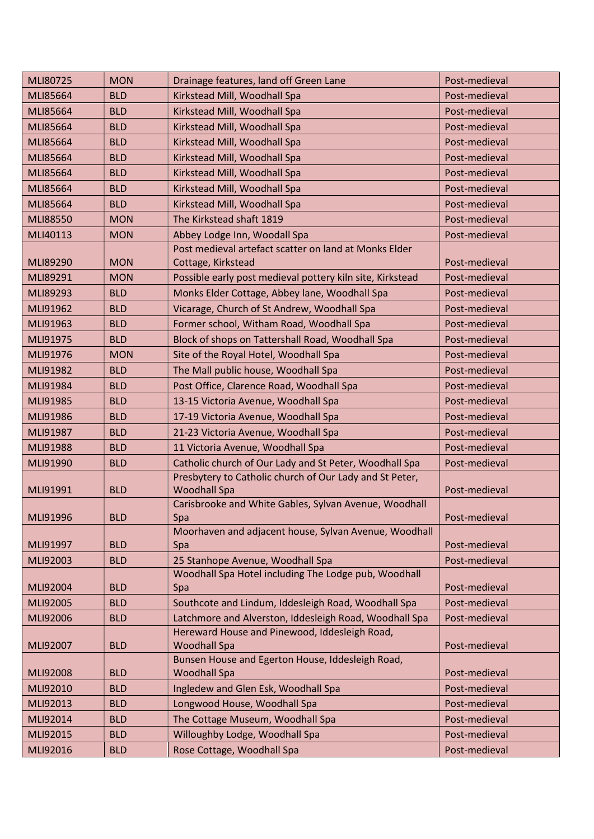| MLI80725 | <b>MON</b> | Drainage features, land off Green Lane                       | Post-medieval |
|----------|------------|--------------------------------------------------------------|---------------|
| MLI85664 | <b>BLD</b> | Kirkstead Mill, Woodhall Spa                                 | Post-medieval |
| MLI85664 | <b>BLD</b> | Kirkstead Mill, Woodhall Spa                                 | Post-medieval |
| MLI85664 | <b>BLD</b> | Kirkstead Mill, Woodhall Spa                                 | Post-medieval |
| MLI85664 | <b>BLD</b> | Kirkstead Mill, Woodhall Spa                                 | Post-medieval |
| MLI85664 | <b>BLD</b> | Kirkstead Mill, Woodhall Spa                                 | Post-medieval |
| MLI85664 | <b>BLD</b> | Kirkstead Mill, Woodhall Spa                                 | Post-medieval |
| MLI85664 | <b>BLD</b> | Kirkstead Mill, Woodhall Spa                                 | Post-medieval |
| MLI85664 | <b>BLD</b> | Kirkstead Mill, Woodhall Spa                                 | Post-medieval |
| MLI88550 | <b>MON</b> | The Kirkstead shaft 1819                                     | Post-medieval |
| MLI40113 | <b>MON</b> | Abbey Lodge Inn, Woodall Spa                                 | Post-medieval |
|          |            | Post medieval artefact scatter on land at Monks Elder        |               |
| MLI89290 | <b>MON</b> | Cottage, Kirkstead                                           | Post-medieval |
| MLI89291 | <b>MON</b> | Possible early post medieval pottery kiln site, Kirkstead    | Post-medieval |
| MLI89293 | <b>BLD</b> | Monks Elder Cottage, Abbey lane, Woodhall Spa                | Post-medieval |
| MLI91962 | <b>BLD</b> | Vicarage, Church of St Andrew, Woodhall Spa                  | Post-medieval |
| MLI91963 | <b>BLD</b> | Former school, Witham Road, Woodhall Spa                     | Post-medieval |
| MLI91975 | <b>BLD</b> | Block of shops on Tattershall Road, Woodhall Spa             | Post-medieval |
| MLI91976 | <b>MON</b> | Site of the Royal Hotel, Woodhall Spa                        | Post-medieval |
| MLI91982 | <b>BLD</b> | The Mall public house, Woodhall Spa                          | Post-medieval |
| MLI91984 | <b>BLD</b> | Post Office, Clarence Road, Woodhall Spa                     | Post-medieval |
| MLI91985 | <b>BLD</b> | 13-15 Victoria Avenue, Woodhall Spa                          | Post-medieval |
| MLI91986 | <b>BLD</b> | 17-19 Victoria Avenue, Woodhall Spa                          | Post-medieval |
| MLI91987 | <b>BLD</b> | 21-23 Victoria Avenue, Woodhall Spa                          | Post-medieval |
| MLI91988 | <b>BLD</b> | 11 Victoria Avenue, Woodhall Spa                             | Post-medieval |
| MLI91990 | <b>BLD</b> | Catholic church of Our Lady and St Peter, Woodhall Spa       | Post-medieval |
|          |            | Presbytery to Catholic church of Our Lady and St Peter,      |               |
| MLI91991 | <b>BLD</b> | <b>Woodhall Spa</b>                                          | Post-medieval |
|          |            | Carisbrooke and White Gables, Sylvan Avenue, Woodhall        |               |
| MLI91996 | <b>BLD</b> | Spa<br>Moorhaven and adjacent house, Sylvan Avenue, Woodhall | Post-medieval |
| MLI91997 | <b>BLD</b> | Spa                                                          | Post-medieval |
| MLI92003 | <b>BLD</b> | 25 Stanhope Avenue, Woodhall Spa                             | Post-medieval |
|          |            | Woodhall Spa Hotel including The Lodge pub, Woodhall         |               |
| MLI92004 | <b>BLD</b> | Spa                                                          | Post-medieval |
| MLI92005 | <b>BLD</b> | Southcote and Lindum, Iddesleigh Road, Woodhall Spa          | Post-medieval |
| MLI92006 | <b>BLD</b> | Latchmore and Alverston, Iddesleigh Road, Woodhall Spa       | Post-medieval |
|          |            | Hereward House and Pinewood, Iddesleigh Road,                |               |
| MLI92007 | <b>BLD</b> | <b>Woodhall Spa</b>                                          | Post-medieval |
|          |            | Bunsen House and Egerton House, Iddesleigh Road,             |               |
| MLI92008 | <b>BLD</b> | <b>Woodhall Spa</b>                                          | Post-medieval |
| MLI92010 | <b>BLD</b> | Ingledew and Glen Esk, Woodhall Spa                          | Post-medieval |
| MLI92013 | <b>BLD</b> | Longwood House, Woodhall Spa                                 | Post-medieval |
| MLI92014 | <b>BLD</b> | The Cottage Museum, Woodhall Spa                             | Post-medieval |
| MLI92015 | <b>BLD</b> | Willoughby Lodge, Woodhall Spa                               | Post-medieval |
| MLI92016 | <b>BLD</b> | Rose Cottage, Woodhall Spa                                   | Post-medieval |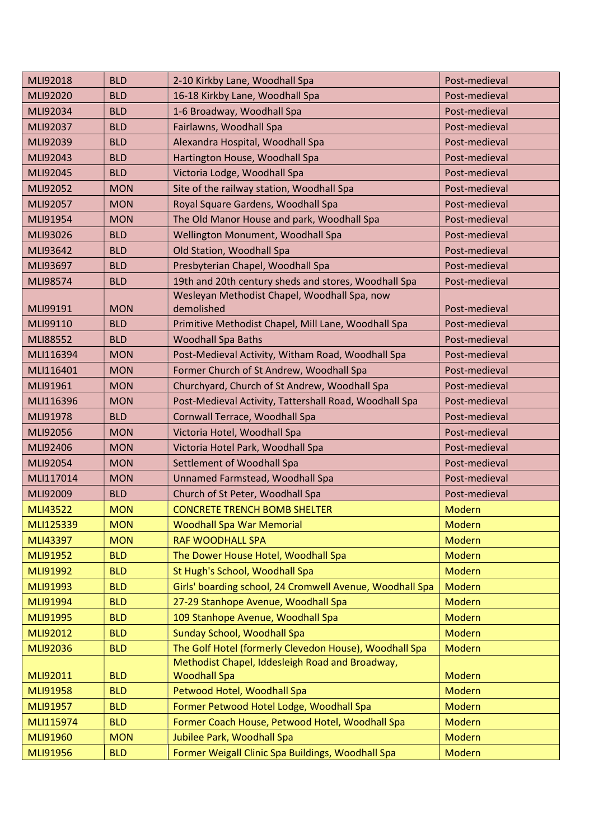| MLI92018        | <b>BLD</b> | 2-10 Kirkby Lane, Woodhall Spa                                         | Post-medieval |
|-----------------|------------|------------------------------------------------------------------------|---------------|
| MLI92020        | <b>BLD</b> | 16-18 Kirkby Lane, Woodhall Spa                                        | Post-medieval |
| MLI92034        | <b>BLD</b> | 1-6 Broadway, Woodhall Spa                                             | Post-medieval |
| MLI92037        | <b>BLD</b> | Fairlawns, Woodhall Spa                                                | Post-medieval |
| MLI92039        | <b>BLD</b> | Alexandra Hospital, Woodhall Spa                                       | Post-medieval |
| MLI92043        | <b>BLD</b> | Hartington House, Woodhall Spa                                         | Post-medieval |
| MLI92045        | <b>BLD</b> | Victoria Lodge, Woodhall Spa                                           | Post-medieval |
| MLI92052        | <b>MON</b> | Site of the railway station, Woodhall Spa                              | Post-medieval |
| MLI92057        | <b>MON</b> | Royal Square Gardens, Woodhall Spa                                     | Post-medieval |
| MLI91954        | <b>MON</b> | The Old Manor House and park, Woodhall Spa                             | Post-medieval |
| MLI93026        | <b>BLD</b> | Wellington Monument, Woodhall Spa                                      | Post-medieval |
| MLI93642        | <b>BLD</b> | Old Station, Woodhall Spa                                              | Post-medieval |
| MLI93697        | <b>BLD</b> | Presbyterian Chapel, Woodhall Spa                                      | Post-medieval |
| MLI98574        | <b>BLD</b> | 19th and 20th century sheds and stores, Woodhall Spa                   | Post-medieval |
|                 |            | Wesleyan Methodist Chapel, Woodhall Spa, now                           |               |
| MLI99191        | <b>MON</b> | demolished                                                             | Post-medieval |
| MLI99110        | <b>BLD</b> | Primitive Methodist Chapel, Mill Lane, Woodhall Spa                    | Post-medieval |
| MLI88552        | <b>BLD</b> | <b>Woodhall Spa Baths</b>                                              | Post-medieval |
| MLI116394       | <b>MON</b> | Post-Medieval Activity, Witham Road, Woodhall Spa                      | Post-medieval |
| MLI116401       | <b>MON</b> | Former Church of St Andrew, Woodhall Spa                               | Post-medieval |
| MLI91961        | <b>MON</b> | Churchyard, Church of St Andrew, Woodhall Spa                          | Post-medieval |
| MLI116396       | <b>MON</b> | Post-Medieval Activity, Tattershall Road, Woodhall Spa                 | Post-medieval |
| MLI91978        | <b>BLD</b> | Cornwall Terrace, Woodhall Spa                                         | Post-medieval |
| MLI92056        | <b>MON</b> | Victoria Hotel, Woodhall Spa                                           | Post-medieval |
| MLI92406        | <b>MON</b> | Victoria Hotel Park, Woodhall Spa                                      | Post-medieval |
| MLI92054        | <b>MON</b> | Settlement of Woodhall Spa                                             | Post-medieval |
| MLI117014       | <b>MON</b> | Unnamed Farmstead, Woodhall Spa                                        | Post-medieval |
| MLI92009        | <b>BLD</b> | Church of St Peter, Woodhall Spa                                       | Post-medieval |
| <b>MLI43522</b> | <b>MON</b> | <b>CONCRETE TRENCH BOMB SHELTER</b>                                    | <b>Modern</b> |
| MLI125339       | <b>MON</b> | <b>Woodhall Spa War Memorial</b>                                       | Modern        |
| MLI43397        | <b>MON</b> | <b>RAF WOODHALL SPA</b>                                                | <b>Modern</b> |
| MLI91952        | <b>BLD</b> | The Dower House Hotel, Woodhall Spa                                    | <b>Modern</b> |
| MLI91992        | <b>BLD</b> | St Hugh's School, Woodhall Spa                                         | Modern        |
| MLI91993        | <b>BLD</b> | Girls' boarding school, 24 Cromwell Avenue, Woodhall Spa               | <b>Modern</b> |
| MLI91994        | <b>BLD</b> | 27-29 Stanhope Avenue, Woodhall Spa                                    | Modern        |
| <b>MLI91995</b> | <b>BLD</b> | 109 Stanhope Avenue, Woodhall Spa                                      | <b>Modern</b> |
| MLI92012        | <b>BLD</b> | Sunday School, Woodhall Spa                                            | <b>Modern</b> |
| MLI92036        | <b>BLD</b> | The Golf Hotel (formerly Clevedon House), Woodhall Spa                 | Modern        |
| MLI92011        | <b>BLD</b> | Methodist Chapel, Iddesleigh Road and Broadway,<br><b>Woodhall Spa</b> | <b>Modern</b> |
| <b>MLI91958</b> | <b>BLD</b> | Petwood Hotel, Woodhall Spa                                            | <b>Modern</b> |
| MLI91957        | <b>BLD</b> | Former Petwood Hotel Lodge, Woodhall Spa                               | <b>Modern</b> |
| MLI115974       | <b>BLD</b> | Former Coach House, Petwood Hotel, Woodhall Spa                        | <b>Modern</b> |
| MLI91960        | <b>MON</b> | Jubilee Park, Woodhall Spa                                             | <b>Modern</b> |
| MLI91956        | <b>BLD</b> | Former Weigall Clinic Spa Buildings, Woodhall Spa                      | <b>Modern</b> |